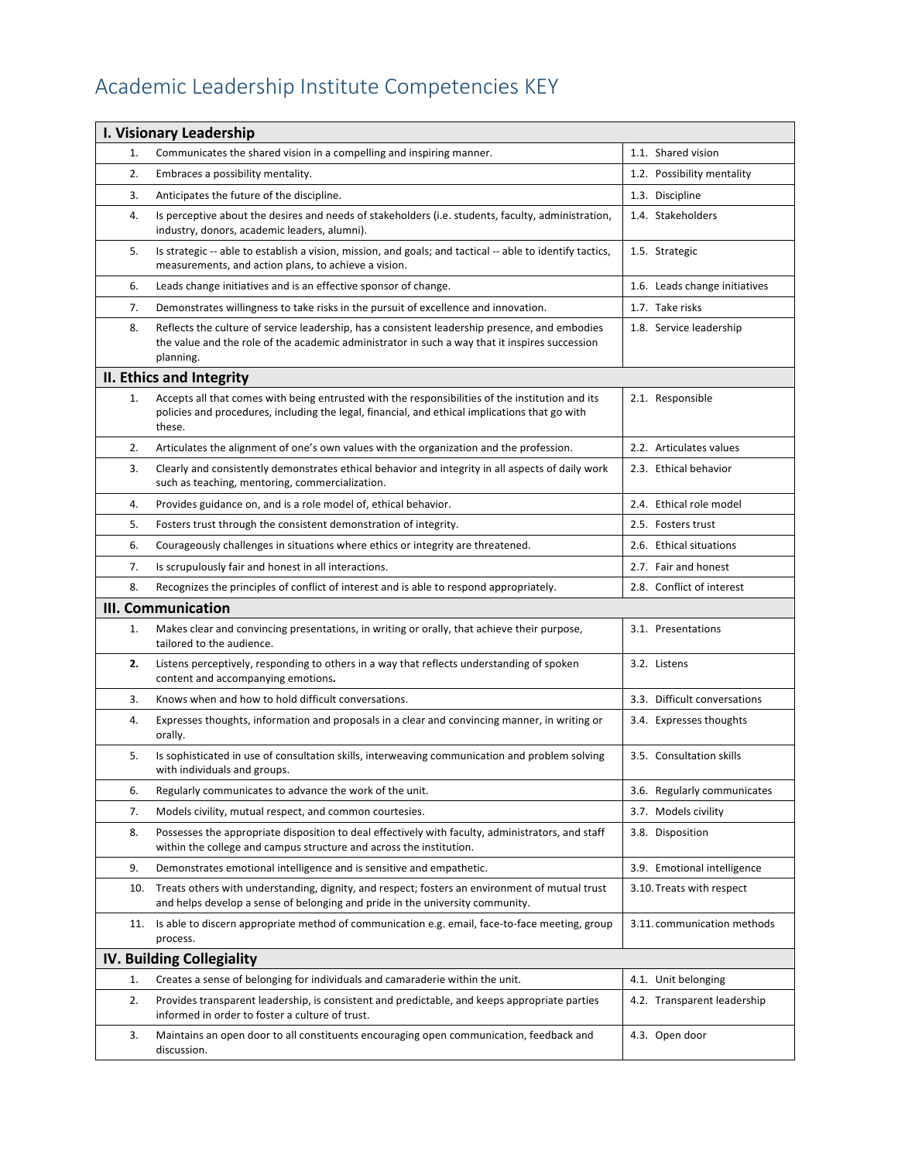## Academic Leadership Institute Competencies KEY

| I. Visionary Leadership          |                                                                                                                                                                                                               |                               |  |  |
|----------------------------------|---------------------------------------------------------------------------------------------------------------------------------------------------------------------------------------------------------------|-------------------------------|--|--|
| 1.                               | Communicates the shared vision in a compelling and inspiring manner.                                                                                                                                          | 1.1. Shared vision            |  |  |
| 2.                               | Embraces a possibility mentality.                                                                                                                                                                             | 1.2. Possibility mentality    |  |  |
| 3.                               | Anticipates the future of the discipline.                                                                                                                                                                     | 1.3. Discipline               |  |  |
| 4.                               | Is perceptive about the desires and needs of stakeholders (i.e. students, faculty, administration,<br>industry, donors, academic leaders, alumni).                                                            | 1.4. Stakeholders             |  |  |
| 5.                               | Is strategic -- able to establish a vision, mission, and goals; and tactical -- able to identify tactics,<br>measurements, and action plans, to achieve a vision.                                             | 1.5. Strategic                |  |  |
| 6.                               | Leads change initiatives and is an effective sponsor of change.                                                                                                                                               | 1.6. Leads change initiatives |  |  |
| 7.                               | Demonstrates willingness to take risks in the pursuit of excellence and innovation.                                                                                                                           | 1.7. Take risks               |  |  |
| 8.                               | Reflects the culture of service leadership, has a consistent leadership presence, and embodies<br>the value and the role of the academic administrator in such a way that it inspires succession<br>planning. | 1.8. Service leadership       |  |  |
|                                  | II. Ethics and Integrity                                                                                                                                                                                      |                               |  |  |
| 1.                               | Accepts all that comes with being entrusted with the responsibilities of the institution and its<br>policies and procedures, including the legal, financial, and ethical implications that go with<br>these.  | 2.1. Responsible              |  |  |
| 2.                               | Articulates the alignment of one's own values with the organization and the profession.                                                                                                                       | 2.2. Articulates values       |  |  |
| 3.                               | Clearly and consistently demonstrates ethical behavior and integrity in all aspects of daily work<br>such as teaching, mentoring, commercialization.                                                          | 2.3. Ethical behavior         |  |  |
| 4.                               | Provides guidance on, and is a role model of, ethical behavior.                                                                                                                                               | 2.4. Ethical role model       |  |  |
| 5.                               | Fosters trust through the consistent demonstration of integrity.                                                                                                                                              | 2.5. Fosters trust            |  |  |
| 6.                               | Courageously challenges in situations where ethics or integrity are threatened.                                                                                                                               | 2.6. Ethical situations       |  |  |
| 7.                               | Is scrupulously fair and honest in all interactions.                                                                                                                                                          | 2.7. Fair and honest          |  |  |
| 8.                               | Recognizes the principles of conflict of interest and is able to respond appropriately.                                                                                                                       | 2.8. Conflict of interest     |  |  |
|                                  | <b>III. Communication</b>                                                                                                                                                                                     |                               |  |  |
| 1.                               | Makes clear and convincing presentations, in writing or orally, that achieve their purpose,<br>tailored to the audience.                                                                                      | 3.1. Presentations            |  |  |
| 2.                               | Listens perceptively, responding to others in a way that reflects understanding of spoken<br>content and accompanying emotions.                                                                               | 3.2. Listens                  |  |  |
| 3.                               | Knows when and how to hold difficult conversations.                                                                                                                                                           | 3.3. Difficult conversations  |  |  |
| 4.                               | Expresses thoughts, information and proposals in a clear and convincing manner, in writing or<br>orally.                                                                                                      | 3.4. Expresses thoughts       |  |  |
| 5.                               | Is sophisticated in use of consultation skills, interweaving communication and problem solving<br>with individuals and groups.                                                                                | 3.5. Consultation skills      |  |  |
| 6.                               | Regularly communicates to advance the work of the unit.                                                                                                                                                       | 3.6. Regularly communicates   |  |  |
| 7.                               | Models civility, mutual respect, and common courtesies.                                                                                                                                                       | 3.7. Models civility          |  |  |
| 8.                               | Possesses the appropriate disposition to deal effectively with faculty, administrators, and staff<br>within the college and campus structure and across the institution.                                      | 3.8. Disposition              |  |  |
| 9.                               | Demonstrates emotional intelligence and is sensitive and empathetic.                                                                                                                                          | 3.9. Emotional intelligence   |  |  |
| 10.                              | Treats others with understanding, dignity, and respect; fosters an environment of mutual trust<br>and helps develop a sense of belonging and pride in the university community.                               | 3.10. Treats with respect     |  |  |
| 11.                              | Is able to discern appropriate method of communication e.g. email, face-to-face meeting, group<br>process.                                                                                                    | 3.11. communication methods   |  |  |
| <b>IV. Building Collegiality</b> |                                                                                                                                                                                                               |                               |  |  |
| 1.                               | Creates a sense of belonging for individuals and camaraderie within the unit.                                                                                                                                 | 4.1. Unit belonging           |  |  |
| 2.                               | Provides transparent leadership, is consistent and predictable, and keeps appropriate parties<br>informed in order to foster a culture of trust.                                                              | 4.2. Transparent leadership   |  |  |
| 3.                               | Maintains an open door to all constituents encouraging open communication, feedback and<br>discussion.                                                                                                        | 4.3. Open door                |  |  |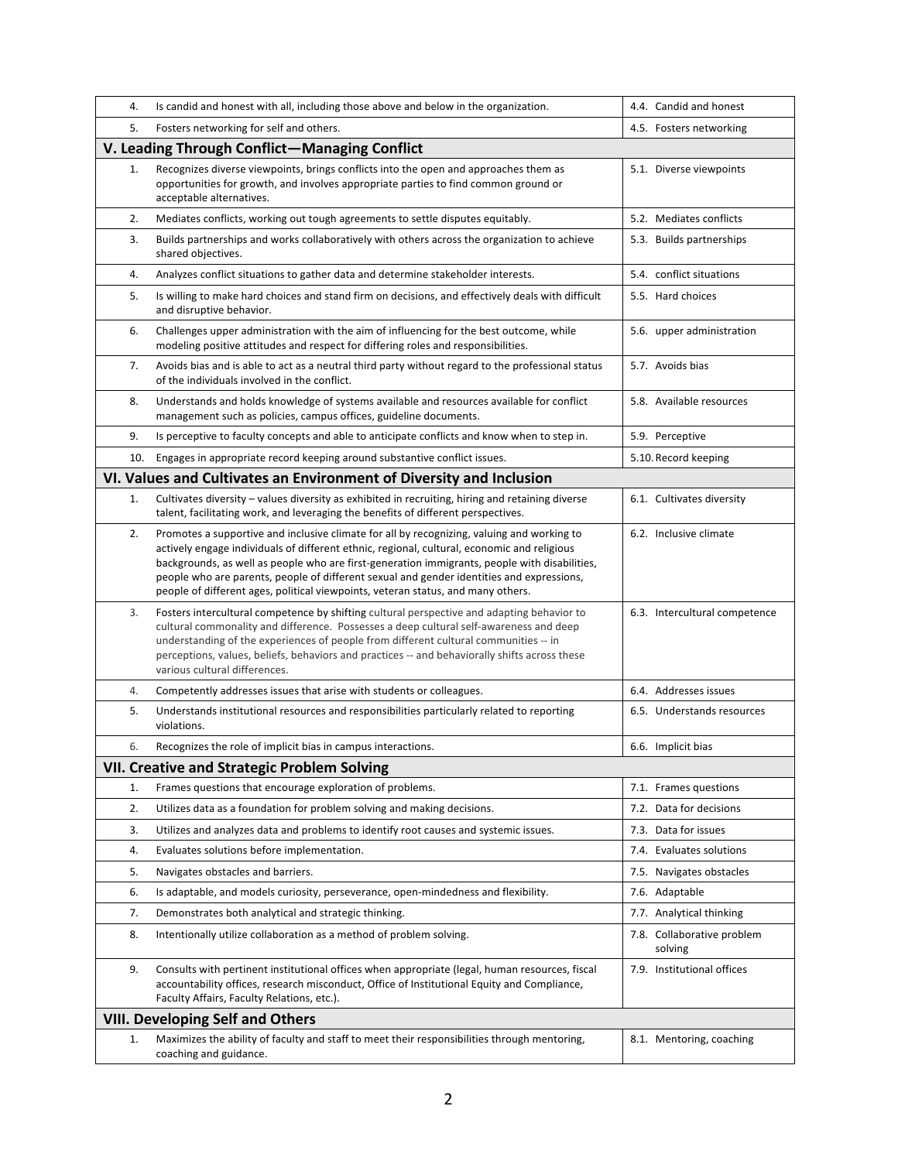| 4.  | Is candid and honest with all, including those above and below in the organization.                                                                                                                                                                                                                                                                                                                                                                                         | 4.4. Candid and honest                |
|-----|-----------------------------------------------------------------------------------------------------------------------------------------------------------------------------------------------------------------------------------------------------------------------------------------------------------------------------------------------------------------------------------------------------------------------------------------------------------------------------|---------------------------------------|
| 5.  | Fosters networking for self and others.                                                                                                                                                                                                                                                                                                                                                                                                                                     | 4.5. Fosters networking               |
|     | V. Leading Through Conflict-Managing Conflict                                                                                                                                                                                                                                                                                                                                                                                                                               |                                       |
| 1.  | Recognizes diverse viewpoints, brings conflicts into the open and approaches them as<br>opportunities for growth, and involves appropriate parties to find common ground or<br>acceptable alternatives.                                                                                                                                                                                                                                                                     | 5.1. Diverse viewpoints               |
| 2.  | Mediates conflicts, working out tough agreements to settle disputes equitably.                                                                                                                                                                                                                                                                                                                                                                                              | 5.2. Mediates conflicts               |
| 3.  | Builds partnerships and works collaboratively with others across the organization to achieve<br>shared objectives.                                                                                                                                                                                                                                                                                                                                                          | 5.3. Builds partnerships              |
| 4.  | Analyzes conflict situations to gather data and determine stakeholder interests.                                                                                                                                                                                                                                                                                                                                                                                            | 5.4. conflict situations              |
| 5.  | Is willing to make hard choices and stand firm on decisions, and effectively deals with difficult<br>and disruptive behavior.                                                                                                                                                                                                                                                                                                                                               | 5.5. Hard choices                     |
| 6.  | Challenges upper administration with the aim of influencing for the best outcome, while<br>modeling positive attitudes and respect for differing roles and responsibilities.                                                                                                                                                                                                                                                                                                | 5.6. upper administration             |
| 7.  | Avoids bias and is able to act as a neutral third party without regard to the professional status<br>of the individuals involved in the conflict.                                                                                                                                                                                                                                                                                                                           | 5.7. Avoids bias                      |
| 8.  | Understands and holds knowledge of systems available and resources available for conflict<br>management such as policies, campus offices, guideline documents.                                                                                                                                                                                                                                                                                                              | 5.8. Available resources              |
| 9.  | Is perceptive to faculty concepts and able to anticipate conflicts and know when to step in.                                                                                                                                                                                                                                                                                                                                                                                | 5.9. Perceptive                       |
| 10. | Engages in appropriate record keeping around substantive conflict issues.                                                                                                                                                                                                                                                                                                                                                                                                   | 5.10. Record keeping                  |
|     | VI. Values and Cultivates an Environment of Diversity and Inclusion                                                                                                                                                                                                                                                                                                                                                                                                         |                                       |
| 1.  | Cultivates diversity - values diversity as exhibited in recruiting, hiring and retaining diverse<br>talent, facilitating work, and leveraging the benefits of different perspectives.                                                                                                                                                                                                                                                                                       | 6.1. Cultivates diversity             |
| 2.  | Promotes a supportive and inclusive climate for all by recognizing, valuing and working to<br>actively engage individuals of different ethnic, regional, cultural, economic and religious<br>backgrounds, as well as people who are first-generation immigrants, people with disabilities,<br>people who are parents, people of different sexual and gender identities and expressions,<br>people of different ages, political viewpoints, veteran status, and many others. | 6.2. Inclusive climate                |
| 3.  | Fosters intercultural competence by shifting cultural perspective and adapting behavior to<br>cultural commonality and difference. Possesses a deep cultural self-awareness and deep<br>understanding of the experiences of people from different cultural communities -- in<br>perceptions, values, beliefs, behaviors and practices -- and behaviorally shifts across these<br>various cultural differences.                                                              | 6.3. Intercultural competence         |
| 4.  | Competently addresses issues that arise with students or colleagues.                                                                                                                                                                                                                                                                                                                                                                                                        | 6.4. Addresses issues                 |
| 5.  | Understands institutional resources and responsibilities particularly related to reporting<br>violations.                                                                                                                                                                                                                                                                                                                                                                   | 6.5. Understands resources            |
| 6.  | Recognizes the role of implicit bias in campus interactions.                                                                                                                                                                                                                                                                                                                                                                                                                | 6.6. Implicit bias                    |
|     | <b>VII. Creative and Strategic Problem Solving</b>                                                                                                                                                                                                                                                                                                                                                                                                                          |                                       |
| 1.  | Frames questions that encourage exploration of problems.                                                                                                                                                                                                                                                                                                                                                                                                                    | 7.1. Frames questions                 |
| 2.  | Utilizes data as a foundation for problem solving and making decisions.                                                                                                                                                                                                                                                                                                                                                                                                     | 7.2. Data for decisions               |
| 3.  | Utilizes and analyzes data and problems to identify root causes and systemic issues.                                                                                                                                                                                                                                                                                                                                                                                        | 7.3. Data for issues                  |
| 4.  | Evaluates solutions before implementation.                                                                                                                                                                                                                                                                                                                                                                                                                                  | 7.4. Evaluates solutions              |
| 5.  | Navigates obstacles and barriers.                                                                                                                                                                                                                                                                                                                                                                                                                                           | 7.5. Navigates obstacles              |
| 6.  | Is adaptable, and models curiosity, perseverance, open-mindedness and flexibility.                                                                                                                                                                                                                                                                                                                                                                                          | 7.6. Adaptable                        |
| 7.  | Demonstrates both analytical and strategic thinking.                                                                                                                                                                                                                                                                                                                                                                                                                        | 7.7. Analytical thinking              |
| 8.  | Intentionally utilize collaboration as a method of problem solving.                                                                                                                                                                                                                                                                                                                                                                                                         | 7.8. Collaborative problem<br>solving |
| 9.  | Consults with pertinent institutional offices when appropriate (legal, human resources, fiscal<br>accountability offices, research misconduct, Office of Institutional Equity and Compliance,<br>Faculty Affairs, Faculty Relations, etc.).                                                                                                                                                                                                                                 | 7.9. Institutional offices            |
|     | <b>VIII. Developing Self and Others</b>                                                                                                                                                                                                                                                                                                                                                                                                                                     |                                       |
| 1.  | Maximizes the ability of faculty and staff to meet their responsibilities through mentoring,<br>coaching and guidance.                                                                                                                                                                                                                                                                                                                                                      | 8.1. Mentoring, coaching              |